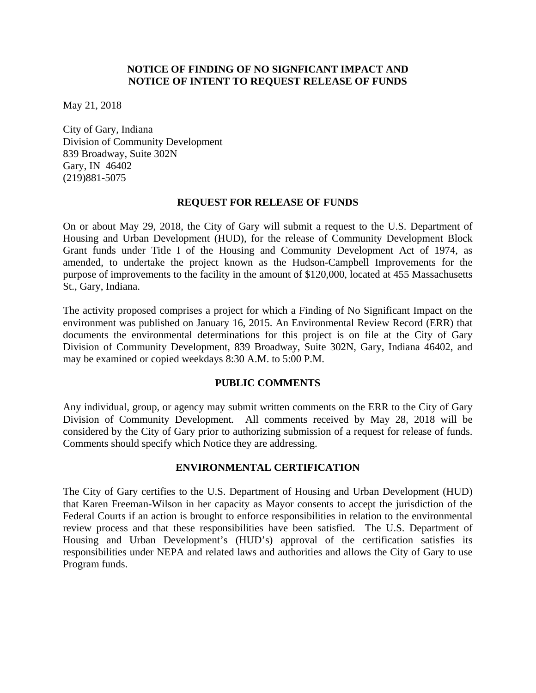# **NOTICE OF FINDING OF NO SIGNFICANT IMPACT AND NOTICE OF INTENT TO REQUEST RELEASE OF FUNDS**

May 21, 2018

City of Gary, Indiana Division of Community Development 839 Broadway, Suite 302N Gary, IN 46402 (219)881-5075

#### **REQUEST FOR RELEASE OF FUNDS**

On or about May 29, 2018, the City of Gary will submit a request to the U.S. Department of Housing and Urban Development (HUD), for the release of Community Development Block Grant funds under Title I of the Housing and Community Development Act of 1974, as amended, to undertake the project known as the Hudson-Campbell Improvements for the purpose of improvements to the facility in the amount of \$120,000, located at 455 Massachusetts St., Gary, Indiana.

The activity proposed comprises a project for which a Finding of No Significant Impact on the environment was published on January 16, 2015. An Environmental Review Record (ERR) that documents the environmental determinations for this project is on file at the City of Gary Division of Community Development, 839 Broadway, Suite 302N, Gary, Indiana 46402, and may be examined or copied weekdays 8:30 A.M. to 5:00 P.M.

# **PUBLIC COMMENTS**

Any individual, group, or agency may submit written comments on the ERR to the City of Gary Division of Community Development*.* All comments received by May 28, 2018 will be considered by the City of Gary prior to authorizing submission of a request for release of funds. Comments should specify which Notice they are addressing.

# **ENVIRONMENTAL CERTIFICATION**

The City of Gary certifies to the U.S. Department of Housing and Urban Development (HUD) that Karen Freeman-Wilson in her capacity as Mayor consents to accept the jurisdiction of the Federal Courts if an action is brought to enforce responsibilities in relation to the environmental review process and that these responsibilities have been satisfied. The U.S. Department of Housing and Urban Development's (HUD's) approval of the certification satisfies its responsibilities under NEPA and related laws and authorities and allows the City of Gary to use Program funds.